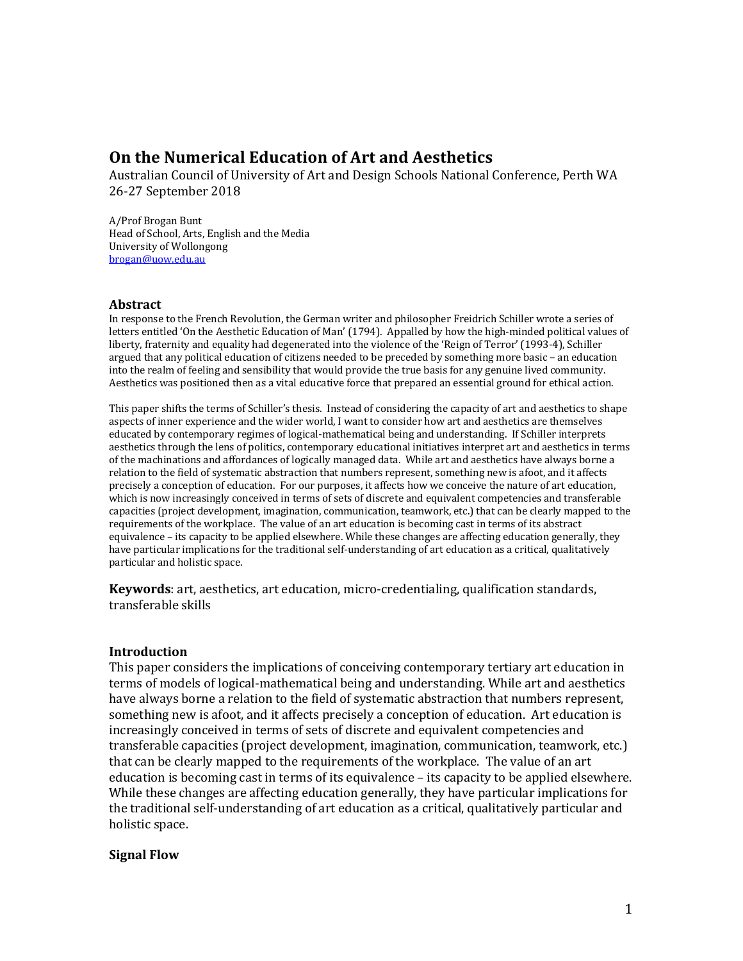# **On the Numerical Education of Art and Aesthetics**

Australian Council of University of Art and Design Schools National Conference, Perth WA 26-27 September 2018

A/Prof Brogan Bunt Head of School, Arts, English and the Media University of Wollongong brogan@uow.edu.au

### **Abstract**

In response to the French Revolution, the German writer and philosopher Freidrich Schiller wrote a series of letters entitled 'On the Aesthetic Education of Man' (1794). Appalled by how the high-minded political values of liberty, fraternity and equality had degenerated into the violence of the 'Reign of Terror' (1993-4), Schiller argued that any political education of citizens needed to be preceded by something more basic – an education into the realm of feeling and sensibility that would provide the true basis for any genuine lived community. Aesthetics was positioned then as a vital educative force that prepared an essential ground for ethical action.

This paper shifts the terms of Schiller's thesis. Instead of considering the capacity of art and aesthetics to shape aspects of inner experience and the wider world, I want to consider how art and aesthetics are themselves educated by contemporary regimes of logical-mathematical being and understanding. If Schiller interprets aesthetics through the lens of politics, contemporary educational initiatives interpret art and aesthetics in terms of the machinations and affordances of logically managed data. While art and aesthetics have always borne a relation to the field of systematic abstraction that numbers represent, something new is afoot, and it affects precisely a conception of education. For our purposes, it affects how we conceive the nature of art education, which is now increasingly conceived in terms of sets of discrete and equivalent competencies and transferable capacities (project development, imagination, communication, teamwork, etc.) that can be clearly mapped to the requirements of the workplace. The value of an art education is becoming cast in terms of its abstract equivalence – its capacity to be applied elsewhere. While these changes are affecting education generally, they have particular implications for the traditional self-understanding of art education as a critical, qualitatively particular and holistic space.

**Keywords**: art, aesthetics, art education, micro-credentialing, qualification standards, transferable skills

### **Introduction**

This paper considers the implications of conceiving contemporary tertiary art education in terms of models of logical-mathematical being and understanding. While art and aesthetics have always borne a relation to the field of systematic abstraction that numbers represent, something new is afoot, and it affects precisely a conception of education. Art education is increasingly conceived in terms of sets of discrete and equivalent competencies and transferable capacities (project development, imagination, communication, teamwork, etc.) that can be clearly mapped to the requirements of the workplace. The value of an art education is becoming cast in terms of its equivalence  $-$  its capacity to be applied elsewhere. While these changes are affecting education generally, they have particular implications for the traditional self-understanding of art education as a critical, qualitatively particular and holistic space.

### **Signal Flow**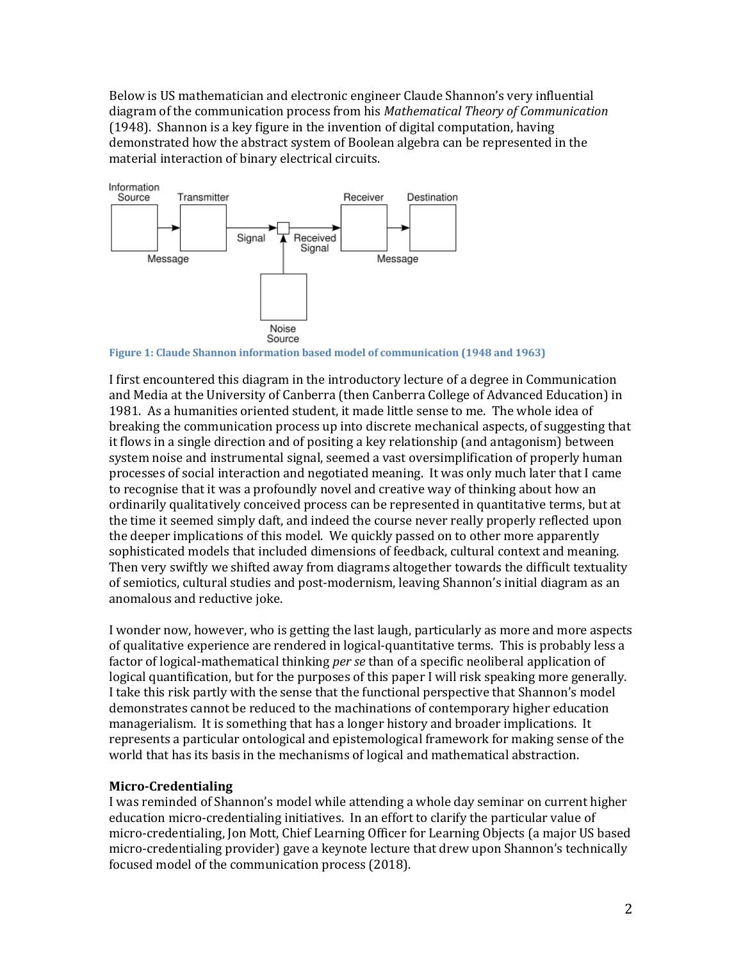Below is US mathematician and electronic engineer Claude Shannon's very influential diagram of the communication process from his *Mathematical Theory of Communication* (1948). Shannon is a key figure in the invention of digital computation, having demonstrated how the abstract system of Boolean algebra can be represented in the material interaction of binary electrical circuits.



**Figure 1: Claude Shannon information based model of communication (1948 and 1963)** 

I first encountered this diagram in the introductory lecture of a degree in Communication and Media at the University of Canberra (then Canberra College of Advanced Education) in 1981. As a humanities oriented student, it made little sense to me. The whole idea of breaking the communication process up into discrete mechanical aspects, of suggesting that it flows in a single direction and of positing a key relationship (and antagonism) between system noise and instrumental signal, seemed a vast oversimplification of properly human processes of social interaction and negotiated meaning. It was only much later that I came to recognise that it was a profoundly novel and creative way of thinking about how an ordinarily qualitatively conceived process can be represented in quantitative terms, but at the time it seemed simply daft, and indeed the course never really properly reflected upon the deeper implications of this model. We quickly passed on to other more apparently sophisticated models that included dimensions of feedback, cultural context and meaning. Then very swiftly we shifted away from diagrams altogether towards the difficult textuality of semiotics, cultural studies and post-modernism, leaving Shannon's initial diagram as an anomalous and reductive joke.

I wonder now, however, who is getting the last laugh, particularly as more and more aspects of qualitative experience are rendered in logical-quantitative terms. This is probably less a factor of logical-mathematical thinking *per se* than of a specific neoliberal application of logical quantification, but for the purposes of this paper I will risk speaking more generally. I take this risk partly with the sense that the functional perspective that Shannon's model demonstrates cannot be reduced to the machinations of contemporary higher education managerialism. It is something that has a longer history and broader implications. It represents a particular ontological and epistemological framework for making sense of the world that has its basis in the mechanisms of logical and mathematical abstraction.

### **Micro-Credentialing**

I was reminded of Shannon's model while attending a whole day seminar on current higher education micro-credentialing initiatives. In an effort to clarify the particular value of micro-credentialing, Jon Mott, Chief Learning Officer for Learning Objects (a major US based micro-credentialing provider) gave a keynote lecture that drew upon Shannon's technically focused model of the communication process (2018).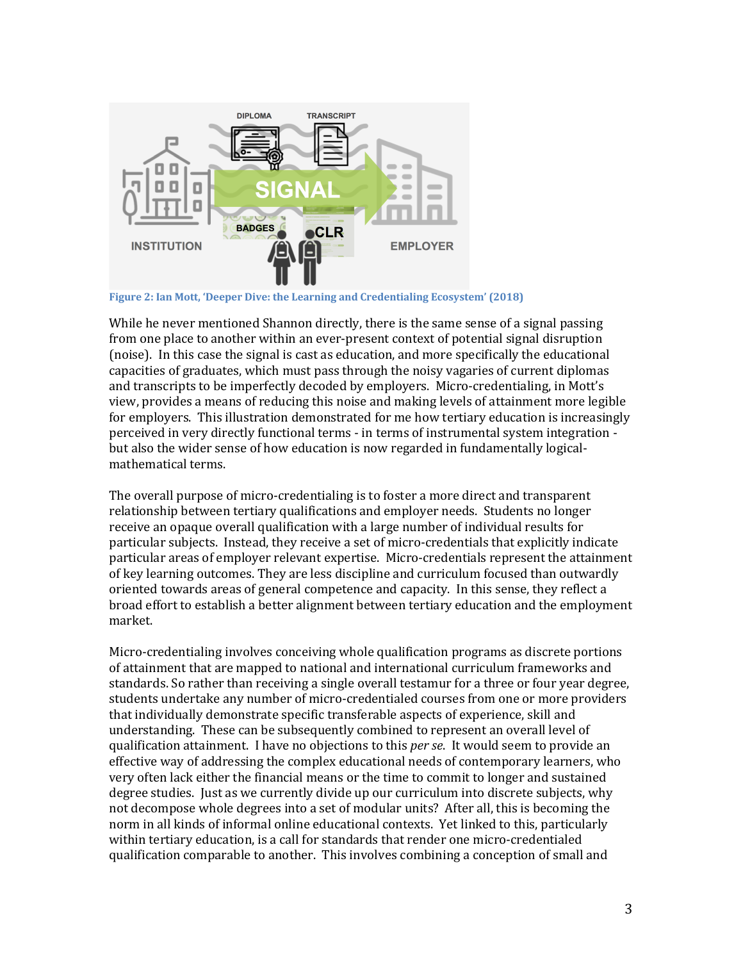

**Figure 2: Ian Mott, 'Deeper Dive: the Learning and Credentialing Ecosystem' (2018)** 

While he never mentioned Shannon directly, there is the same sense of a signal passing from one place to another within an ever-present context of potential signal disruption (noise). In this case the signal is cast as education, and more specifically the educational capacities of graduates, which must pass through the noisy vagaries of current diplomas and transcripts to be imperfectly decoded by employers. Micro-credentialing, in Mott's view, provides a means of reducing this noise and making levels of attainment more legible for employers. This illustration demonstrated for me how tertiary education is increasingly perceived in very directly functional terms - in terms of instrumental system integration but also the wider sense of how education is now regarded in fundamentally logicalmathematical terms.

The overall purpose of micro-credentialing is to foster a more direct and transparent relationship between tertiary qualifications and employer needs. Students no longer receive an opaque overall qualification with a large number of individual results for particular subjects. Instead, they receive a set of micro-credentials that explicitly indicate particular areas of employer relevant expertise. Micro-credentials represent the attainment of key learning outcomes. They are less discipline and curriculum focused than outwardly oriented towards areas of general competence and capacity. In this sense, they reflect a broad effort to establish a better alignment between tertiary education and the employment market. 

Micro-credentialing involves conceiving whole qualification programs as discrete portions of attainment that are mapped to national and international curriculum frameworks and standards. So rather than receiving a single overall testamur for a three or four year degree, students undertake any number of micro-credentialed courses from one or more providers that individually demonstrate specific transferable aspects of experience, skill and understanding. These can be subsequently combined to represent an overall level of qualification attainment. I have no objections to this *per se*. It would seem to provide an effective way of addressing the complex educational needs of contemporary learners, who very often lack either the financial means or the time to commit to longer and sustained degree studies. Just as we currently divide up our curriculum into discrete subjects, why not decompose whole degrees into a set of modular units? After all, this is becoming the norm in all kinds of informal online educational contexts. Yet linked to this, particularly within tertiary education, is a call for standards that render one micro-credentialed qualification comparable to another. This involves combining a conception of small and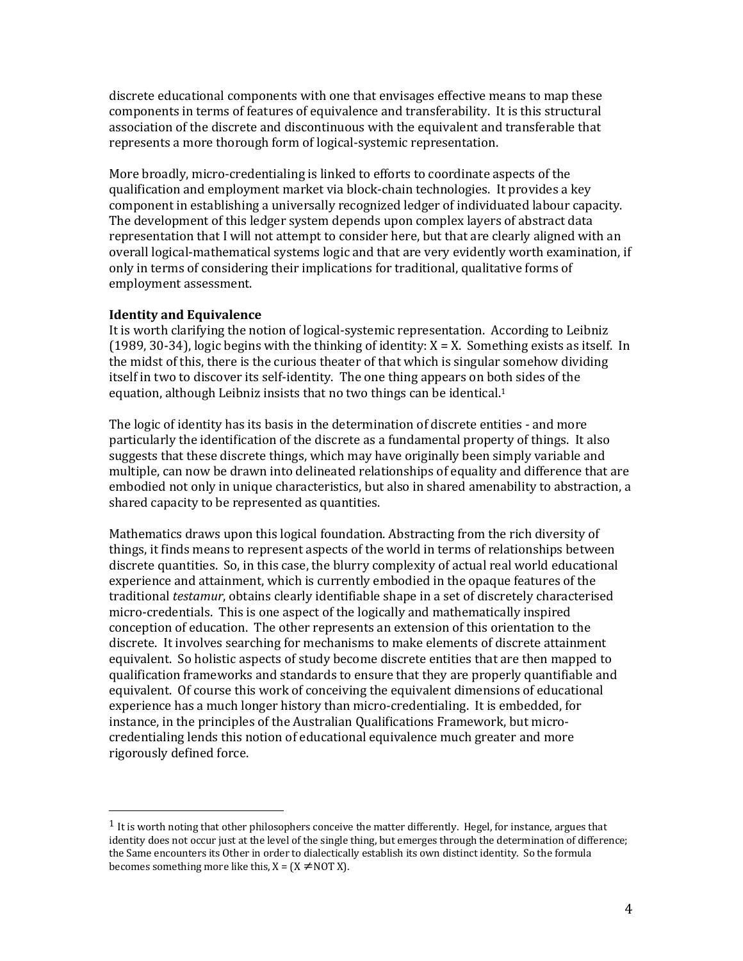discrete educational components with one that envisages effective means to map these components in terms of features of equivalence and transferability. It is this structural association of the discrete and discontinuous with the equivalent and transferable that represents a more thorough form of logical-systemic representation.

More broadly, micro-credentialing is linked to efforts to coordinate aspects of the qualification and employment market via block-chain technologies. It provides a key component in establishing a universally recognized ledger of individuated labour capacity. The development of this ledger system depends upon complex layers of abstract data representation that I will not attempt to consider here, but that are clearly aligned with an overall logical-mathematical systems logic and that are very evidently worth examination, if only in terms of considering their implications for traditional, qualitative forms of employment assessment.

### **Identity and Equivalence**

It is worth clarifying the notion of logical-systemic representation. According to Leibniz  $(1989, 30-34)$ , logic begins with the thinking of identity:  $X = X$ . Something exists as itself. In the midst of this, there is the curious theater of that which is singular somehow dividing itself in two to discover its self-identity. The one thing appears on both sides of the equation, although Leibniz insists that no two things can be identical.<sup>1</sup>

The logic of identity has its basis in the determination of discrete entities - and more particularly the identification of the discrete as a fundamental property of things. It also suggests that these discrete things, which may have originally been simply variable and multiple, can now be drawn into delineated relationships of equality and difference that are embodied not only in unique characteristics, but also in shared amenability to abstraction, a shared capacity to be represented as quantities.

Mathematics draws upon this logical foundation. Abstracting from the rich diversity of things, it finds means to represent aspects of the world in terms of relationships between discrete quantities. So, in this case, the blurry complexity of actual real world educational experience and attainment, which is currently embodied in the opaque features of the traditional *testamur*, obtains clearly identifiable shape in a set of discretely characterised micro-credentials. This is one aspect of the logically and mathematically inspired conception of education. The other represents an extension of this orientation to the discrete. It involves searching for mechanisms to make elements of discrete attainment equivalent. So holistic aspects of study become discrete entities that are then mapped to qualification frameworks and standards to ensure that they are properly quantifiable and equivalent. Of course this work of conceiving the equivalent dimensions of educational experience has a much longer history than micro-credentialing. It is embedded, for instance, in the principles of the Australian Qualifications Framework, but microcredentialing lends this notion of educational equivalence much greater and more rigorously defined force.

 $<sup>1</sup>$  It is worth noting that other philosophers conceive the matter differently. Hegel, for instance, argues that</sup> identity does not occur just at the level of the single thing, but emerges through the determination of difference; the Same encounters its Other in order to dialectically establish its own distinct identity. So the formula becomes something more like this,  $X = (X \neq NOT X)$ .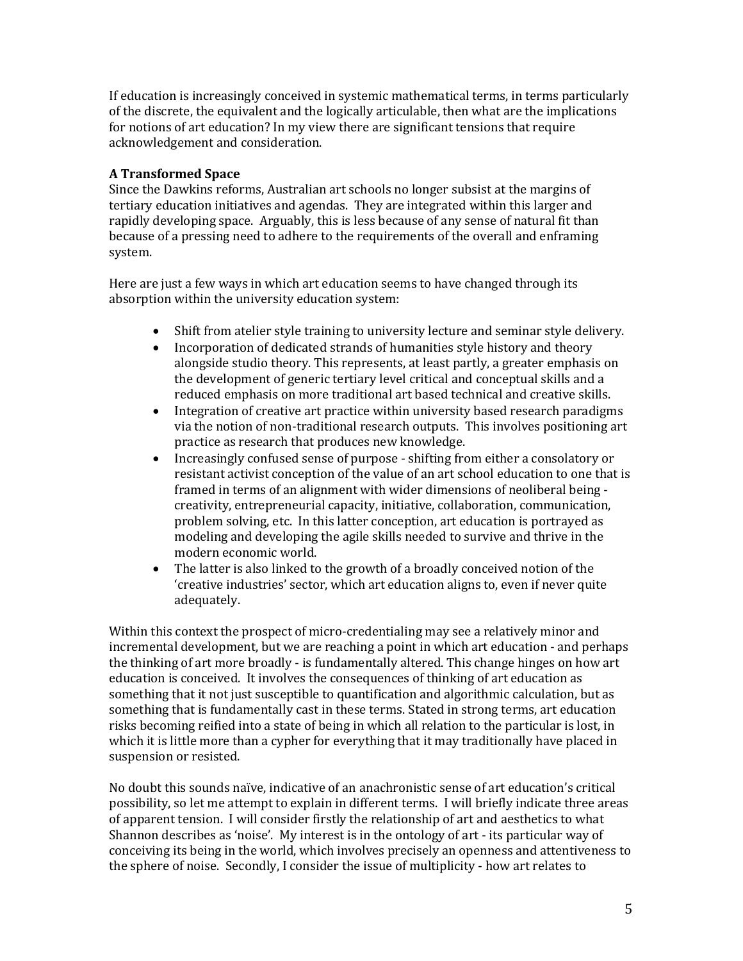If education is increasingly conceived in systemic mathematical terms, in terms particularly of the discrete, the equivalent and the logically articulable, then what are the implications for notions of art education? In my view there are significant tensions that require acknowledgement and consideration.

# **A Transformed Space**

Since the Dawkins reforms, Australian art schools no longer subsist at the margins of tertiary education initiatives and agendas. They are integrated within this larger and rapidly developing space. Arguably, this is less because of any sense of natural fit than because of a pressing need to adhere to the requirements of the overall and enframing system.

Here are just a few ways in which art education seems to have changed through its absorption within the university education system:

- Shift from atelier style training to university lecture and seminar style delivery.
- Incorporation of dedicated strands of humanities style history and theory alongside studio theory. This represents, at least partly, a greater emphasis on the development of generic tertiary level critical and conceptual skills and a reduced emphasis on more traditional art based technical and creative skills.
- Integration of creative art practice within university based research paradigms via the notion of non-traditional research outputs. This involves positioning art practice as research that produces new knowledge.
- Increasingly confused sense of purpose shifting from either a consolatory or resistant activist conception of the value of an art school education to one that is framed in terms of an alignment with wider dimensions of neoliberal being creativity, entrepreneurial capacity, initiative, collaboration, communication, problem solving, etc. In this latter conception, art education is portrayed as modeling and developing the agile skills needed to survive and thrive in the modern economic world.
- The latter is also linked to the growth of a broadly conceived notion of the 'creative industries' sector, which art education aligns to, even if never quite adequately.

Within this context the prospect of micro-credentialing may see a relatively minor and incremental development, but we are reaching a point in which art education - and perhaps the thinking of art more broadly - is fundamentally altered. This change hinges on how art education is conceived. It involves the consequences of thinking of art education as something that it not just susceptible to quantification and algorithmic calculation, but as something that is fundamentally cast in these terms. Stated in strong terms, art education risks becoming reified into a state of being in which all relation to the particular is lost, in which it is little more than a cypher for everything that it may traditionally have placed in suspension or resisted.

No doubt this sounds naïve, indicative of an anachronistic sense of art education's critical possibility, so let me attempt to explain in different terms. I will briefly indicate three areas of apparent tension. I will consider firstly the relationship of art and aesthetics to what Shannon describes as 'noise'. My interest is in the ontology of art - its particular way of conceiving its being in the world, which involves precisely an openness and attentiveness to the sphere of noise. Secondly, I consider the issue of multiplicity - how art relates to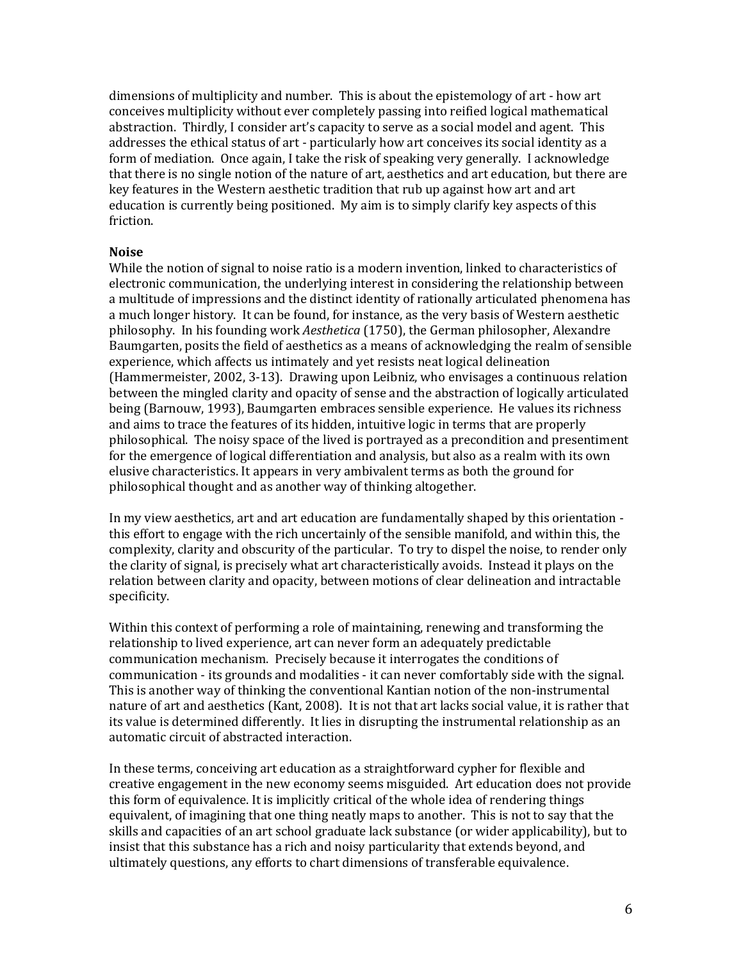dimensions of multiplicity and number. This is about the epistemology of art - how art conceives multiplicity without ever completely passing into reified logical mathematical abstraction. Thirdly, I consider art's capacity to serve as a social model and agent. This addresses the ethical status of art - particularly how art conceives its social identity as a form of mediation. Once again, I take the risk of speaking very generally. I acknowledge that there is no single notion of the nature of art, aesthetics and art education, but there are key features in the Western aesthetic tradition that rub up against how art and art education is currently being positioned. My aim is to simply clarify key aspects of this friction.

### **Noise**

While the notion of signal to noise ratio is a modern invention, linked to characteristics of electronic communication, the underlying interest in considering the relationship between a multitude of impressions and the distinct identity of rationally articulated phenomena has a much longer history. It can be found, for instance, as the very basis of Western aesthetic philosophy. In his founding work *Aesthetica* (1750), the German philosopher, Alexandre Baumgarten, posits the field of aesthetics as a means of acknowledging the realm of sensible experience, which affects us intimately and yet resists neat logical delineation (Hammermeister, 2002, 3-13). Drawing upon Leibniz, who envisages a continuous relation between the mingled clarity and opacity of sense and the abstraction of logically articulated being (Barnouw, 1993), Baumgarten embraces sensible experience. He values its richness and aims to trace the features of its hidden, intuitive logic in terms that are properly philosophical. The noisy space of the lived is portrayed as a precondition and presentiment for the emergence of logical differentiation and analysis, but also as a realm with its own elusive characteristics. It appears in very ambivalent terms as both the ground for philosophical thought and as another way of thinking altogether.

In my view aesthetics, art and art education are fundamentally shaped by this orientation this effort to engage with the rich uncertainly of the sensible manifold, and within this, the complexity, clarity and obscurity of the particular. To try to dispel the noise, to render only the clarity of signal, is precisely what art characteristically avoids. Instead it plays on the relation between clarity and opacity, between motions of clear delineation and intractable specificity.

Within this context of performing a role of maintaining, renewing and transforming the relationship to lived experience, art can never form an adequately predictable communication mechanism. Precisely because it interrogates the conditions of communication - its grounds and modalities - it can never comfortably side with the signal. This is another way of thinking the conventional Kantian notion of the non-instrumental nature of art and aesthetics (Kant, 2008). It is not that art lacks social value, it is rather that its value is determined differently. It lies in disrupting the instrumental relationship as an automatic circuit of abstracted interaction.

In these terms, conceiving art education as a straightforward cypher for flexible and creative engagement in the new economy seems misguided. Art education does not provide this form of equivalence. It is implicitly critical of the whole idea of rendering things equivalent, of imagining that one thing neatly maps to another. This is not to say that the skills and capacities of an art school graduate lack substance (or wider applicability), but to insist that this substance has a rich and noisy particularity that extends beyond, and ultimately questions, any efforts to chart dimensions of transferable equivalence.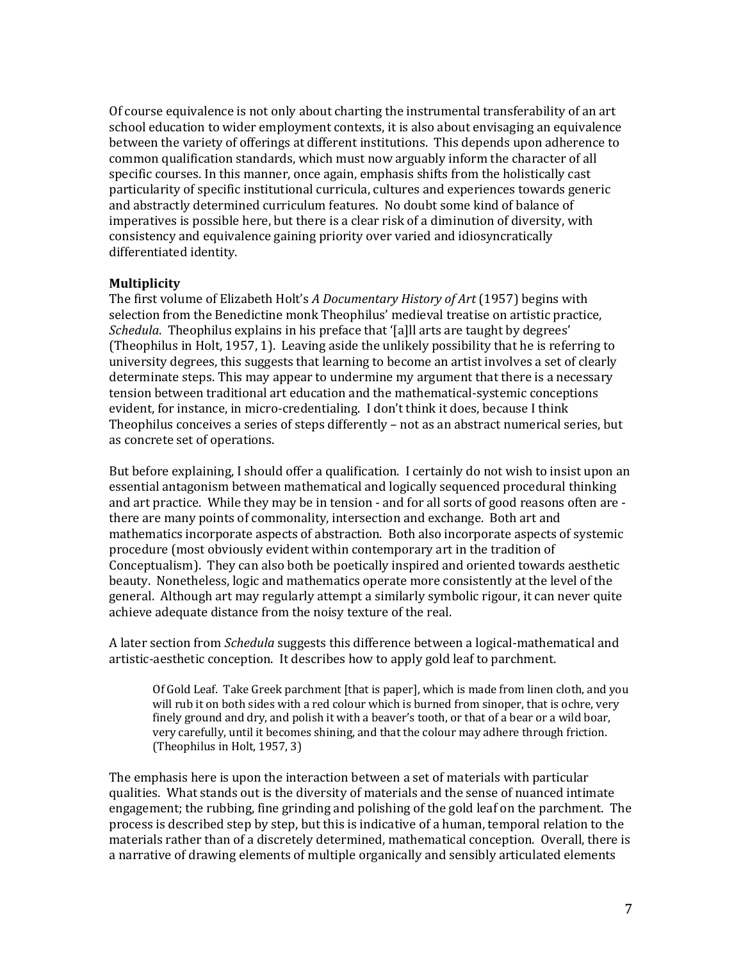Of course equivalence is not only about charting the instrumental transferability of an art school education to wider employment contexts, it is also about envisaging an equivalence between the variety of offerings at different institutions. This depends upon adherence to common qualification standards, which must now arguably inform the character of all specific courses. In this manner, once again, emphasis shifts from the holistically cast particularity of specific institutional curricula, cultures and experiences towards generic and abstractly determined curriculum features. No doubt some kind of balance of imperatives is possible here, but there is a clear risk of a diminution of diversity, with consistency and equivalence gaining priority over varied and idiosyncratically differentiated identity.

### **Multiplicity**

The first volume of Elizabeth Holt's *A Documentary History of Art* (1957) begins with selection from the Benedictine monk Theophilus' medieval treatise on artistic practice, *Schedula*. Theophilus explains in his preface that '[a]ll arts are taught by degrees' (Theophilus in Holt, 1957, 1). Leaving aside the unlikely possibility that he is referring to university degrees, this suggests that learning to become an artist involves a set of clearly determinate steps. This may appear to undermine my argument that there is a necessary tension between traditional art education and the mathematical-systemic conceptions evident, for instance, in micro-credentialing. I don't think it does, because I think Theophilus conceives a series of steps differently  $-$  not as an abstract numerical series, but as concrete set of operations.

But before explaining, I should offer a qualification. I certainly do not wish to insist upon an essential antagonism between mathematical and logically sequenced procedural thinking and art practice. While they may be in tension - and for all sorts of good reasons often are there are many points of commonality, intersection and exchange. Both art and mathematics incorporate aspects of abstraction. Both also incorporate aspects of systemic procedure (most obviously evident within contemporary art in the tradition of Conceptualism). They can also both be poetically inspired and oriented towards aesthetic beauty. Nonetheless, logic and mathematics operate more consistently at the level of the general. Although art may regularly attempt a similarly symbolic rigour, it can never quite achieve adequate distance from the noisy texture of the real.

A later section from *Schedula* suggests this difference between a logical-mathematical and artistic-aesthetic conception. It describes how to apply gold leaf to parchment.

Of Gold Leaf. Take Greek parchment *[that is paper]*, which is made from linen cloth, and you will rub it on both sides with a red colour which is burned from sinoper, that is ochre, very finely ground and dry, and polish it with a beaver's tooth, or that of a bear or a wild boar, very carefully, until it becomes shining, and that the colour may adhere through friction. (Theophilus in Holt, 1957, 3)

The emphasis here is upon the interaction between a set of materials with particular qualities. What stands out is the diversity of materials and the sense of nuanced intimate engagement; the rubbing, fine grinding and polishing of the gold leaf on the parchment. The process is described step by step, but this is indicative of a human, temporal relation to the materials rather than of a discretely determined, mathematical conception. Overall, there is a narrative of drawing elements of multiple organically and sensibly articulated elements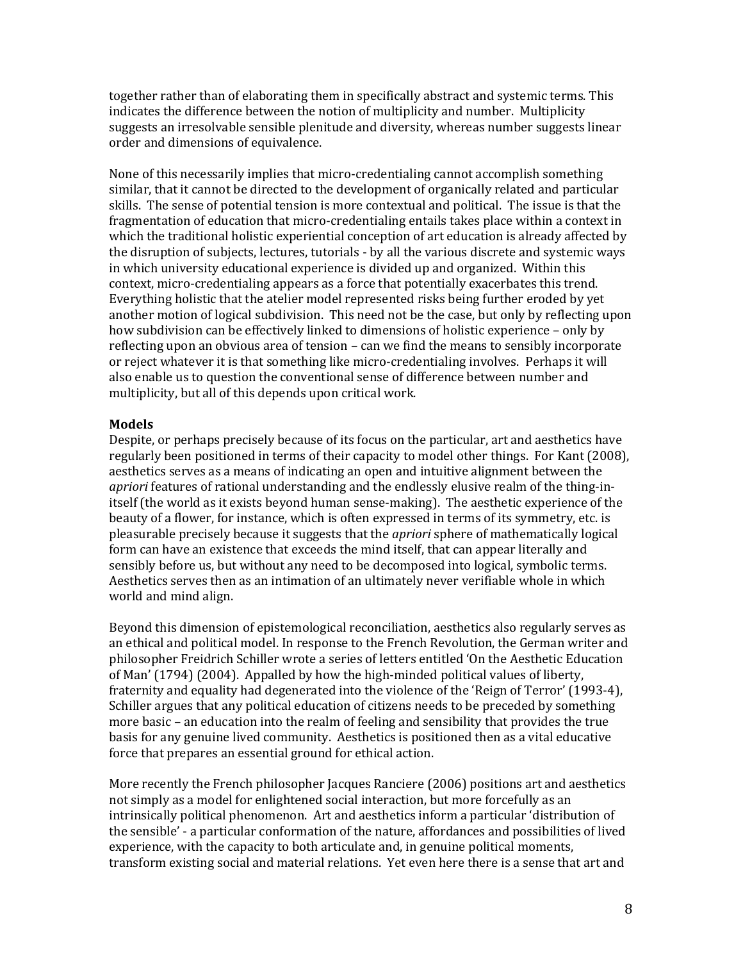together rather than of elaborating them in specifically abstract and systemic terms. This indicates the difference between the notion of multiplicity and number. Multiplicity suggests an irresolvable sensible plenitude and diversity, whereas number suggests linear order and dimensions of equivalence.

None of this necessarily implies that micro-credentialing cannot accomplish something similar, that it cannot be directed to the development of organically related and particular skills. The sense of potential tension is more contextual and political. The issue is that the fragmentation of education that micro-credentialing entails takes place within a context in which the traditional holistic experiential conception of art education is already affected by the disruption of subjects, lectures, tutorials - by all the various discrete and systemic ways in which university educational experience is divided up and organized. Within this context, micro-credentialing appears as a force that potentially exacerbates this trend. Everything holistic that the atelier model represented risks being further eroded by yet another motion of logical subdivision. This need not be the case, but only by reflecting upon how subdivision can be effectively linked to dimensions of holistic experience – only by reflecting upon an obvious area of tension – can we find the means to sensibly incorporate or reject whatever it is that something like micro-credentialing involves. Perhaps it will also enable us to question the conventional sense of difference between number and multiplicity, but all of this depends upon critical work.

### **Models**

Despite, or perhaps precisely because of its focus on the particular, art and aesthetics have regularly been positioned in terms of their capacity to model other things. For Kant (2008), aesthetics serves as a means of indicating an open and intuitive alignment between the *apriori* features of rational understanding and the endlessly elusive realm of the thing-initself (the world as it exists beyond human sense-making). The aesthetic experience of the beauty of a flower, for instance, which is often expressed in terms of its symmetry, etc. is pleasurable precisely because it suggests that the *apriori* sphere of mathematically logical form can have an existence that exceeds the mind itself, that can appear literally and sensibly before us, but without any need to be decomposed into logical, symbolic terms. Aesthetics serves then as an intimation of an ultimately never verifiable whole in which world and mind align.

Beyond this dimension of epistemological reconciliation, aesthetics also regularly serves as an ethical and political model. In response to the French Revolution, the German writer and philosopher Freidrich Schiller wrote a series of letters entitled 'On the Aesthetic Education of Man' (1794) (2004). Appalled by how the high-minded political values of liberty, fraternity and equality had degenerated into the violence of the 'Reign of Terror' (1993-4), Schiller argues that any political education of citizens needs to be preceded by something more basic – an education into the realm of feeling and sensibility that provides the true basis for any genuine lived community. Aesthetics is positioned then as a vital educative force that prepares an essential ground for ethical action.

More recently the French philosopher Jacques Ranciere (2006) positions art and aesthetics not simply as a model for enlightened social interaction, but more forcefully as an intrinsically political phenomenon. Art and aesthetics inform a particular 'distribution of the sensible' - a particular conformation of the nature, affordances and possibilities of lived experience, with the capacity to both articulate and, in genuine political moments, transform existing social and material relations. Yet even here there is a sense that art and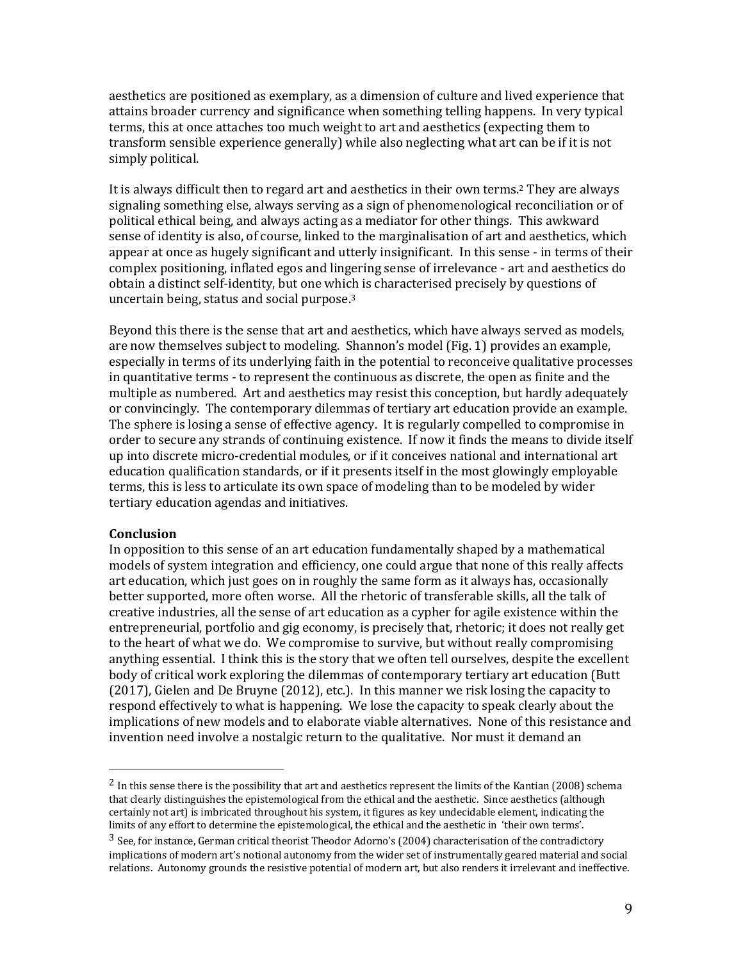aesthetics are positioned as exemplary, as a dimension of culture and lived experience that attains broader currency and significance when something telling happens. In very typical terms, this at once attaches too much weight to art and aesthetics (expecting them to transform sensible experience generally) while also neglecting what art can be if it is not simply political.

It is always difficult then to regard art and aesthetics in their own terms.<sup>2</sup> They are always signaling something else, always serving as a sign of phenomenological reconciliation or of political ethical being, and always acting as a mediator for other things. This awkward sense of identity is also, of course, linked to the marginalisation of art and aesthetics, which appear at once as hugely significant and utterly insignificant. In this sense - in terms of their complex positioning, inflated egos and lingering sense of irrelevance - art and aesthetics do obtain a distinct self-identity, but one which is characterised precisely by questions of uncertain being, status and social purpose. $3$ 

Beyond this there is the sense that art and aesthetics, which have always served as models, are now themselves subject to modeling. Shannon's model (Fig. 1) provides an example, especially in terms of its underlying faith in the potential to reconceive qualitative processes in quantitative terms - to represent the continuous as discrete, the open as finite and the multiple as numbered. Art and aesthetics may resist this conception, but hardly adequately or convincingly. The contemporary dilemmas of tertiary art education provide an example. The sphere is losing a sense of effective agency. It is regularly compelled to compromise in order to secure any strands of continuing existence. If now it finds the means to divide itself up into discrete micro-credential modules, or if it conceives national and international art education qualification standards, or if it presents itself in the most glowingly employable terms, this is less to articulate its own space of modeling than to be modeled by wider tertiary education agendas and initiatives.

### **Conclusion**

In opposition to this sense of an art education fundamentally shaped by a mathematical models of system integration and efficiency, one could argue that none of this really affects art education, which just goes on in roughly the same form as it always has, occasionally better supported, more often worse. All the rhetoric of transferable skills, all the talk of creative industries, all the sense of art education as a cypher for agile existence within the entrepreneurial, portfolio and gig economy, is precisely that, rhetoric; it does not really get to the heart of what we do. We compromise to survive, but without really compromising anything essential. I think this is the story that we often tell ourselves, despite the excellent body of critical work exploring the dilemmas of contemporary tertiary art education (Butt  $(2017)$ , Gielen and De Bruyne  $(2012)$ , etc.). In this manner we risk losing the capacity to respond effectively to what is happening. We lose the capacity to speak clearly about the implications of new models and to elaborate viable alternatives. None of this resistance and invention need involve a nostalgic return to the qualitative. Nor must it demand an

 $2$  In this sense there is the possibility that art and aesthetics represent the limits of the Kantian (2008) schema that clearly distinguishes the epistemological from the ethical and the aesthetic. Since aesthetics (although certainly not art) is imbricated throughout his system, it figures as key undecidable element, indicating the limits of any effort to determine the epistemological, the ethical and the aesthetic in 'their own terms'.

<sup>&</sup>lt;sup>3</sup> See, for instance, German critical theorist Theodor Adorno's (2004) characterisation of the contradictory implications of modern art's notional autonomy from the wider set of instrumentally geared material and social relations. Autonomy grounds the resistive potential of modern art, but also renders it irrelevant and ineffective.